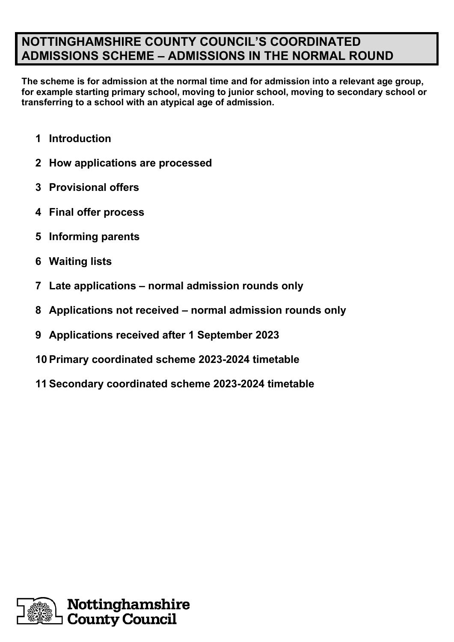# **NOTTINGHAMSHIRE COUNTY COUNCIL'S COORDINATED ADMISSIONS SCHEME – ADMISSIONS IN THE NORMAL ROUND**

**The scheme is for admission at the normal time and for admission into a relevant age group, for example starting primary school, moving to junior school, moving to secondary school or transferring to a school with an atypical age of admission.**

- **Introduction**
- **How applications are processed**
- **Provisional offers**
- **Final offer process**
- **Informing parents**
- **Waiting lists**
- **Late applications – normal admission rounds only**
- **Applications not received – normal admission rounds only**
- **Applications received after 1 September 2023**
- **Primary coordinated scheme 2023-2024 timetable**
- **Secondary coordinated scheme 2023-2024 timetable**

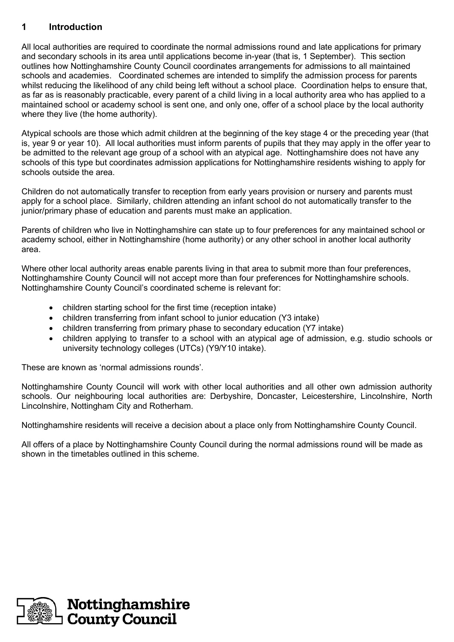## **1 Introduction**

All local authorities are required to coordinate the normal admissions round and late applications for primary and secondary schools in its area until applications become in-year (that is, 1 September). This section outlines how Nottinghamshire County Council coordinates arrangements for admissions to all maintained schools and academies. Coordinated schemes are intended to simplify the admission process for parents whilst reducing the likelihood of any child being left without a school place. Coordination helps to ensure that, as far as is reasonably practicable, every parent of a child living in a local authority area who has applied to a maintained school or academy school is sent one, and only one, offer of a school place by the local authority where they live (the home authority).

Atypical schools are those which admit children at the beginning of the key stage 4 or the preceding year (that is, year 9 or year 10). All local authorities must inform parents of pupils that they may apply in the offer year to be admitted to the relevant age group of a school with an atypical age. Nottinghamshire does not have any schools of this type but coordinates admission applications for Nottinghamshire residents wishing to apply for schools outside the area.

Children do not automatically transfer to reception from early years provision or nursery and parents must apply for a school place. Similarly, children attending an infant school do not automatically transfer to the junior/primary phase of education and parents must make an application.

Parents of children who live in Nottinghamshire can state up to four preferences for any maintained school or academy school, either in Nottinghamshire (home authority) or any other school in another local authority area.

Where other local authority areas enable parents living in that area to submit more than four preferences, Nottinghamshire County Council will not accept more than four preferences for Nottinghamshire schools. Nottinghamshire County Council's coordinated scheme is relevant for:

- children starting school for the first time (reception intake)
- children transferring from infant school to junior education (Y3 intake)
- children transferring from primary phase to secondary education (Y7 intake)
- children applying to transfer to a school with an atypical age of admission, e.g. studio schools or university technology colleges (UTCs) (Y9/Y10 intake).

These are known as 'normal admissions rounds'.

Nottinghamshire County Council will work with other local authorities and all other own admission authority schools. Our neighbouring local authorities are: Derbyshire, Doncaster, Leicestershire, Lincolnshire, North Lincolnshire, Nottingham City and Rotherham.

Nottinghamshire residents will receive a decision about a place only from Nottinghamshire County Council.

All offers of a place by Nottinghamshire County Council during the normal admissions round will be made as shown in the timetables outlined in this scheme.

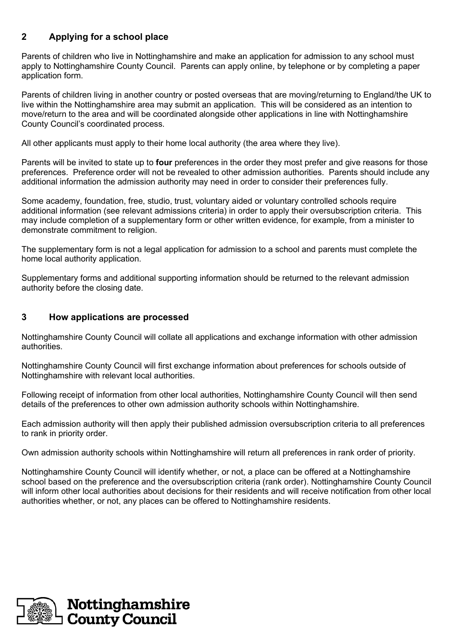# **2 Applying for a school place**

Parents of children who live in Nottinghamshire and make an application for admission to any school must apply to Nottinghamshire County Council. Parents can apply online, by telephone or by completing a paper application form.

Parents of children living in another country or posted overseas that are moving/returning to England/the UK to live within the Nottinghamshire area may submit an application. This will be considered as an intention to move/return to the area and will be coordinated alongside other applications in line with Nottinghamshire County Council's coordinated process.

All other applicants must apply to their home local authority (the area where they live).

Parents will be invited to state up to **four** preferences in the order they most prefer and give reasons for those preferences. Preference order will not be revealed to other admission authorities. Parents should include any additional information the admission authority may need in order to consider their preferences fully.

Some academy, foundation, free, studio, trust, voluntary aided or voluntary controlled schools require additional information (see relevant admissions criteria) in order to apply their oversubscription criteria. This may include completion of a supplementary form or other written evidence, for example, from a minister to demonstrate commitment to religion.

The supplementary form is not a legal application for admission to a school and parents must complete the home local authority application.

Supplementary forms and additional supporting information should be returned to the relevant admission authority before the closing date.

#### **3 How applications are processed**

Nottinghamshire County Council will collate all applications and exchange information with other admission authorities.

Nottinghamshire County Council will first exchange information about preferences for schools outside of Nottinghamshire with relevant local authorities.

Following receipt of information from other local authorities, Nottinghamshire County Council will then send details of the preferences to other own admission authority schools within Nottinghamshire.

Each admission authority will then apply their published admission oversubscription criteria to all preferences to rank in priority order.

Own admission authority schools within Nottinghamshire will return all preferences in rank order of priority.

Nottinghamshire County Council will identify whether, or not, a place can be offered at a Nottinghamshire school based on the preference and the oversubscription criteria (rank order). Nottinghamshire County Council will inform other local authorities about decisions for their residents and will receive notification from other local authorities whether, or not, any places can be offered to Nottinghamshire residents.

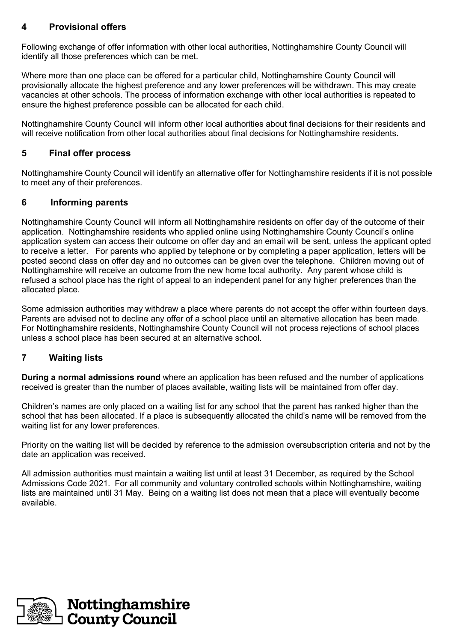### **4 Provisional offers**

Following exchange of offer information with other local authorities, Nottinghamshire County Council will identify all those preferences which can be met.

Where more than one place can be offered for a particular child, Nottinghamshire County Council will provisionally allocate the highest preference and any lower preferences will be withdrawn. This may create vacancies at other schools. The process of information exchange with other local authorities is repeated to ensure the highest preference possible can be allocated for each child.

Nottinghamshire County Council will inform other local authorities about final decisions for their residents and will receive notification from other local authorities about final decisions for Nottinghamshire residents.

#### **5 Final offer process**

Nottinghamshire County Council will identify an alternative offer for Nottinghamshire residents if it is not possible to meet any of their preferences.

#### **6 Informing parents**

Nottinghamshire County Council will inform all Nottinghamshire residents on offer day of the outcome of their application. Nottinghamshire residents who applied online using Nottinghamshire County Council's online application system can access their outcome on offer day and an email will be sent, unless the applicant opted to receive a letter. For parents who applied by telephone or by completing a paper application, letters will be posted second class on offer day and no outcomes can be given over the telephone. Children moving out of Nottinghamshire will receive an outcome from the new home local authority. Any parent whose child is refused a school place has the right of appeal to an independent panel for any higher preferences than the allocated place.

Some admission authorities may withdraw a place where parents do not accept the offer within fourteen days. Parents are advised not to decline any offer of a school place until an alternative allocation has been made. For Nottinghamshire residents, Nottinghamshire County Council will not process rejections of school places unless a school place has been secured at an alternative school.

#### **7 Waiting lists**

**During a normal admissions round** where an application has been refused and the number of applications received is greater than the number of places available, waiting lists will be maintained from offer day.

Children's names are only placed on a waiting list for any school that the parent has ranked higher than the school that has been allocated. If a place is subsequently allocated the child's name will be removed from the waiting list for any lower preferences.

Priority on the waiting list will be decided by reference to the admission oversubscription criteria and not by the date an application was received.

All admission authorities must maintain a waiting list until at least 31 December, as required by the School Admissions Code 2021. For all community and voluntary controlled schools within Nottinghamshire, waiting lists are maintained until 31 May. Being on a waiting list does not mean that a place will eventually become available.

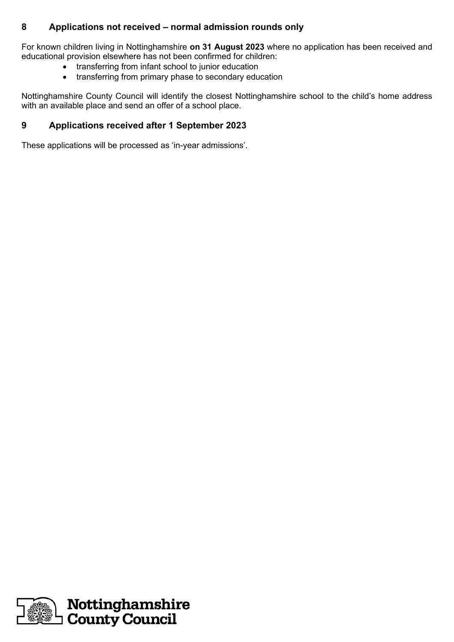## **8 Applications not received – normal admission rounds only**

For known children living in Nottinghamshire **on 31 August 2023** where no application has been received and educational provision elsewhere has not been confirmed for children:

- transferring from infant school to junior education
- transferring from primary phase to secondary education

Nottinghamshire County Council will identify the closest Nottinghamshire school to the child's home address with an available place and send an offer of a school place.

### **9 Applications received after 1 September 2023**

These applications will be processed as 'in-year admissions'.

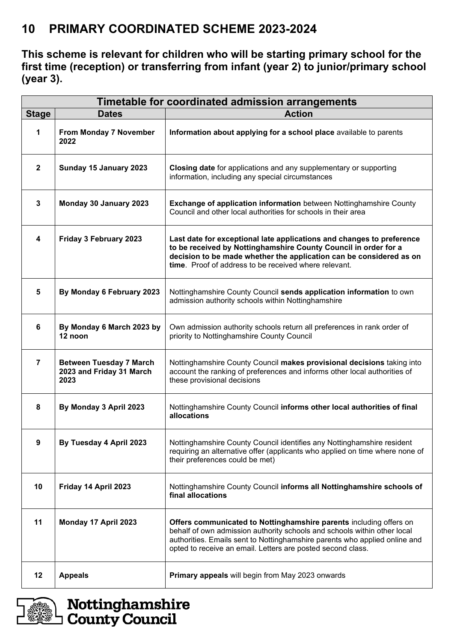# **10 PRIMARY COORDINATED SCHEME 2023-2024**

**This scheme is relevant for children who will be starting primary school for the first time (reception) or transferring from infant (year 2) to junior/primary school (year 3).**

| Timetable for coordinated admission arrangements |                                                                    |                                                                                                                                                                                                                                                                                             |  |
|--------------------------------------------------|--------------------------------------------------------------------|---------------------------------------------------------------------------------------------------------------------------------------------------------------------------------------------------------------------------------------------------------------------------------------------|--|
| <b>Stage</b>                                     | <b>Dates</b>                                                       | <b>Action</b>                                                                                                                                                                                                                                                                               |  |
| 1                                                | From Monday 7 November<br>2022                                     | Information about applying for a school place available to parents                                                                                                                                                                                                                          |  |
| $\mathbf{2}$                                     | Sunday 15 January 2023                                             | Closing date for applications and any supplementary or supporting<br>information, including any special circumstances                                                                                                                                                                       |  |
| $\mathbf 3$                                      | Monday 30 January 2023                                             | <b>Exchange of application information</b> between Nottinghamshire County<br>Council and other local authorities for schools in their area                                                                                                                                                  |  |
| $\overline{\mathbf{4}}$                          | Friday 3 February 2023                                             | Last date for exceptional late applications and changes to preference<br>to be received by Nottinghamshire County Council in order for a<br>decision to be made whether the application can be considered as on<br>time. Proof of address to be received where relevant.                    |  |
| 5                                                | By Monday 6 February 2023                                          | Nottinghamshire County Council sends application information to own<br>admission authority schools within Nottinghamshire                                                                                                                                                                   |  |
| 6                                                | By Monday 6 March 2023 by<br>12 noon                               | Own admission authority schools return all preferences in rank order of<br>priority to Nottinghamshire County Council                                                                                                                                                                       |  |
| $\overline{7}$                                   | <b>Between Tuesday 7 March</b><br>2023 and Friday 31 March<br>2023 | Nottinghamshire County Council makes provisional decisions taking into<br>account the ranking of preferences and informs other local authorities of<br>these provisional decisions                                                                                                          |  |
| 8                                                | By Monday 3 April 2023                                             | Nottinghamshire County Council informs other local authorities of final<br>allocations                                                                                                                                                                                                      |  |
| 9                                                | By Tuesday 4 April 2023                                            | Nottinghamshire County Council identifies any Nottinghamshire resident<br>requiring an alternative offer (applicants who applied on time where none of<br>their preferences could be met)                                                                                                   |  |
| 10                                               | Friday 14 April 2023                                               | Nottinghamshire County Council informs all Nottinghamshire schools of<br>final allocations                                                                                                                                                                                                  |  |
| 11                                               | Monday 17 April 2023                                               | Offers communicated to Nottinghamshire parents including offers on<br>behalf of own admission authority schools and schools within other local<br>authorities. Emails sent to Nottinghamshire parents who applied online and<br>opted to receive an email. Letters are posted second class. |  |
| 12                                               | <b>Appeals</b>                                                     | Primary appeals will begin from May 2023 onwards                                                                                                                                                                                                                                            |  |